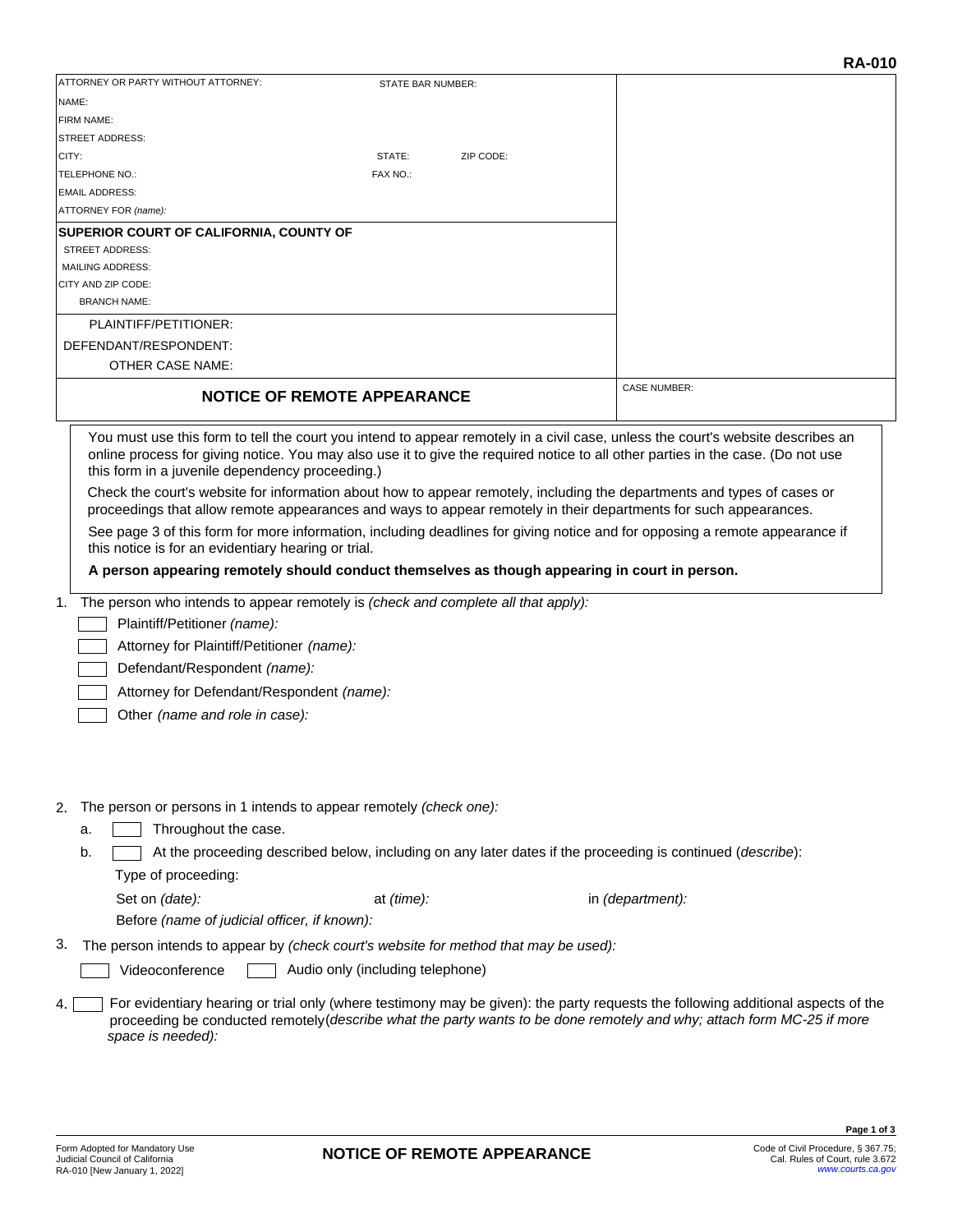|                                                                                                                                                                                                                                                                                                                                                                                                                                                                                                                                                                                                                                                                                                                                                                                                                                                                                                                                                                                                                                                                     |                                                                                                            |                  | <b>RA-010</b>                                                                                                                                                                                                                                              |
|---------------------------------------------------------------------------------------------------------------------------------------------------------------------------------------------------------------------------------------------------------------------------------------------------------------------------------------------------------------------------------------------------------------------------------------------------------------------------------------------------------------------------------------------------------------------------------------------------------------------------------------------------------------------------------------------------------------------------------------------------------------------------------------------------------------------------------------------------------------------------------------------------------------------------------------------------------------------------------------------------------------------------------------------------------------------|------------------------------------------------------------------------------------------------------------|------------------|------------------------------------------------------------------------------------------------------------------------------------------------------------------------------------------------------------------------------------------------------------|
| ATTORNEY OR PARTY WITHOUT ATTORNEY:                                                                                                                                                                                                                                                                                                                                                                                                                                                                                                                                                                                                                                                                                                                                                                                                                                                                                                                                                                                                                                 | STATE BAR NUMBER:                                                                                          |                  |                                                                                                                                                                                                                                                            |
| NAME:                                                                                                                                                                                                                                                                                                                                                                                                                                                                                                                                                                                                                                                                                                                                                                                                                                                                                                                                                                                                                                                               |                                                                                                            |                  |                                                                                                                                                                                                                                                            |
| <b>FIRM NAME:</b>                                                                                                                                                                                                                                                                                                                                                                                                                                                                                                                                                                                                                                                                                                                                                                                                                                                                                                                                                                                                                                                   |                                                                                                            |                  |                                                                                                                                                                                                                                                            |
| <b>STREET ADDRESS:</b>                                                                                                                                                                                                                                                                                                                                                                                                                                                                                                                                                                                                                                                                                                                                                                                                                                                                                                                                                                                                                                              |                                                                                                            |                  |                                                                                                                                                                                                                                                            |
| CITY:                                                                                                                                                                                                                                                                                                                                                                                                                                                                                                                                                                                                                                                                                                                                                                                                                                                                                                                                                                                                                                                               | STATE:<br>ZIP CODE:                                                                                        |                  |                                                                                                                                                                                                                                                            |
| <b>TELEPHONE NO.:</b>                                                                                                                                                                                                                                                                                                                                                                                                                                                                                                                                                                                                                                                                                                                                                                                                                                                                                                                                                                                                                                               | FAX NO.:                                                                                                   |                  |                                                                                                                                                                                                                                                            |
| <b>EMAIL ADDRESS:</b>                                                                                                                                                                                                                                                                                                                                                                                                                                                                                                                                                                                                                                                                                                                                                                                                                                                                                                                                                                                                                                               |                                                                                                            |                  |                                                                                                                                                                                                                                                            |
| ATTORNEY FOR (name):                                                                                                                                                                                                                                                                                                                                                                                                                                                                                                                                                                                                                                                                                                                                                                                                                                                                                                                                                                                                                                                |                                                                                                            |                  |                                                                                                                                                                                                                                                            |
| <b>SUPERIOR COURT OF CALIFORNIA, COUNTY OF</b>                                                                                                                                                                                                                                                                                                                                                                                                                                                                                                                                                                                                                                                                                                                                                                                                                                                                                                                                                                                                                      |                                                                                                            |                  |                                                                                                                                                                                                                                                            |
| STREET ADDRESS:                                                                                                                                                                                                                                                                                                                                                                                                                                                                                                                                                                                                                                                                                                                                                                                                                                                                                                                                                                                                                                                     |                                                                                                            |                  |                                                                                                                                                                                                                                                            |
| <b>MAILING ADDRESS:</b>                                                                                                                                                                                                                                                                                                                                                                                                                                                                                                                                                                                                                                                                                                                                                                                                                                                                                                                                                                                                                                             |                                                                                                            |                  |                                                                                                                                                                                                                                                            |
| CITY AND ZIP CODE:                                                                                                                                                                                                                                                                                                                                                                                                                                                                                                                                                                                                                                                                                                                                                                                                                                                                                                                                                                                                                                                  |                                                                                                            |                  |                                                                                                                                                                                                                                                            |
| <b>BRANCH NAME:</b>                                                                                                                                                                                                                                                                                                                                                                                                                                                                                                                                                                                                                                                                                                                                                                                                                                                                                                                                                                                                                                                 |                                                                                                            |                  |                                                                                                                                                                                                                                                            |
| PLAINTIFF/PETITIONER:                                                                                                                                                                                                                                                                                                                                                                                                                                                                                                                                                                                                                                                                                                                                                                                                                                                                                                                                                                                                                                               |                                                                                                            |                  |                                                                                                                                                                                                                                                            |
| DEFENDANT/RESPONDENT:                                                                                                                                                                                                                                                                                                                                                                                                                                                                                                                                                                                                                                                                                                                                                                                                                                                                                                                                                                                                                                               |                                                                                                            |                  |                                                                                                                                                                                                                                                            |
| <b>OTHER CASE NAME:</b>                                                                                                                                                                                                                                                                                                                                                                                                                                                                                                                                                                                                                                                                                                                                                                                                                                                                                                                                                                                                                                             |                                                                                                            |                  |                                                                                                                                                                                                                                                            |
|                                                                                                                                                                                                                                                                                                                                                                                                                                                                                                                                                                                                                                                                                                                                                                                                                                                                                                                                                                                                                                                                     |                                                                                                            |                  |                                                                                                                                                                                                                                                            |
|                                                                                                                                                                                                                                                                                                                                                                                                                                                                                                                                                                                                                                                                                                                                                                                                                                                                                                                                                                                                                                                                     | <b>NOTICE OF REMOTE APPEARANCE</b>                                                                         |                  | <b>CASE NUMBER:</b>                                                                                                                                                                                                                                        |
|                                                                                                                                                                                                                                                                                                                                                                                                                                                                                                                                                                                                                                                                                                                                                                                                                                                                                                                                                                                                                                                                     |                                                                                                            |                  |                                                                                                                                                                                                                                                            |
| You must use this form to tell the court you intend to appear remotely in a civil case, unless the court's website describes an<br>online process for giving notice. You may also use it to give the required notice to all other parties in the case. (Do not use<br>this form in a juvenile dependency proceeding.)<br>Check the court's website for information about how to appear remotely, including the departments and types of cases or<br>proceedings that allow remote appearances and ways to appear remotely in their departments for such appearances.<br>See page 3 of this form for more information, including deadlines for giving notice and for opposing a remote appearance if<br>this notice is for an evidentiary hearing or trial.<br>A person appearing remotely should conduct themselves as though appearing in court in person.<br>The person who intends to appear remotely is (check and complete all that apply):<br>1.<br>Plaintiff/Petitioner (name):<br>Attorney for Plaintiff/Petitioner (name):<br>Defendant/Respondent (name): |                                                                                                            |                  |                                                                                                                                                                                                                                                            |
| Attorney for Defendant/Respondent (name):<br>Other (name and role in case):                                                                                                                                                                                                                                                                                                                                                                                                                                                                                                                                                                                                                                                                                                                                                                                                                                                                                                                                                                                         |                                                                                                            |                  |                                                                                                                                                                                                                                                            |
| 2. The person or persons in 1 intends to appear remotely (check one):<br>Throughout the case.<br>a.<br>b.<br>Type of proceeding:                                                                                                                                                                                                                                                                                                                                                                                                                                                                                                                                                                                                                                                                                                                                                                                                                                                                                                                                    | At the proceeding described below, including on any later dates if the proceeding is continued (describe): |                  |                                                                                                                                                                                                                                                            |
| Set on (date):                                                                                                                                                                                                                                                                                                                                                                                                                                                                                                                                                                                                                                                                                                                                                                                                                                                                                                                                                                                                                                                      | at (time):                                                                                                 | in (department): |                                                                                                                                                                                                                                                            |
| Before (name of judicial officer, if known):                                                                                                                                                                                                                                                                                                                                                                                                                                                                                                                                                                                                                                                                                                                                                                                                                                                                                                                                                                                                                        |                                                                                                            |                  |                                                                                                                                                                                                                                                            |
| 3.<br>The person intends to appear by (check court's website for method that may be used):                                                                                                                                                                                                                                                                                                                                                                                                                                                                                                                                                                                                                                                                                                                                                                                                                                                                                                                                                                          |                                                                                                            |                  |                                                                                                                                                                                                                                                            |
| Videoconference                                                                                                                                                                                                                                                                                                                                                                                                                                                                                                                                                                                                                                                                                                                                                                                                                                                                                                                                                                                                                                                     | Audio only (including telephone)                                                                           |                  |                                                                                                                                                                                                                                                            |
|                                                                                                                                                                                                                                                                                                                                                                                                                                                                                                                                                                                                                                                                                                                                                                                                                                                                                                                                                                                                                                                                     |                                                                                                            |                  |                                                                                                                                                                                                                                                            |
| 4.<br>space is needed):                                                                                                                                                                                                                                                                                                                                                                                                                                                                                                                                                                                                                                                                                                                                                                                                                                                                                                                                                                                                                                             |                                                                                                            |                  | For evidentiary hearing or trial only (where testimony may be given): the party requests the following additional aspects of the<br>proceeding be conducted remotely (describe what the party wants to be done remotely and why; attach form MC-25 if more |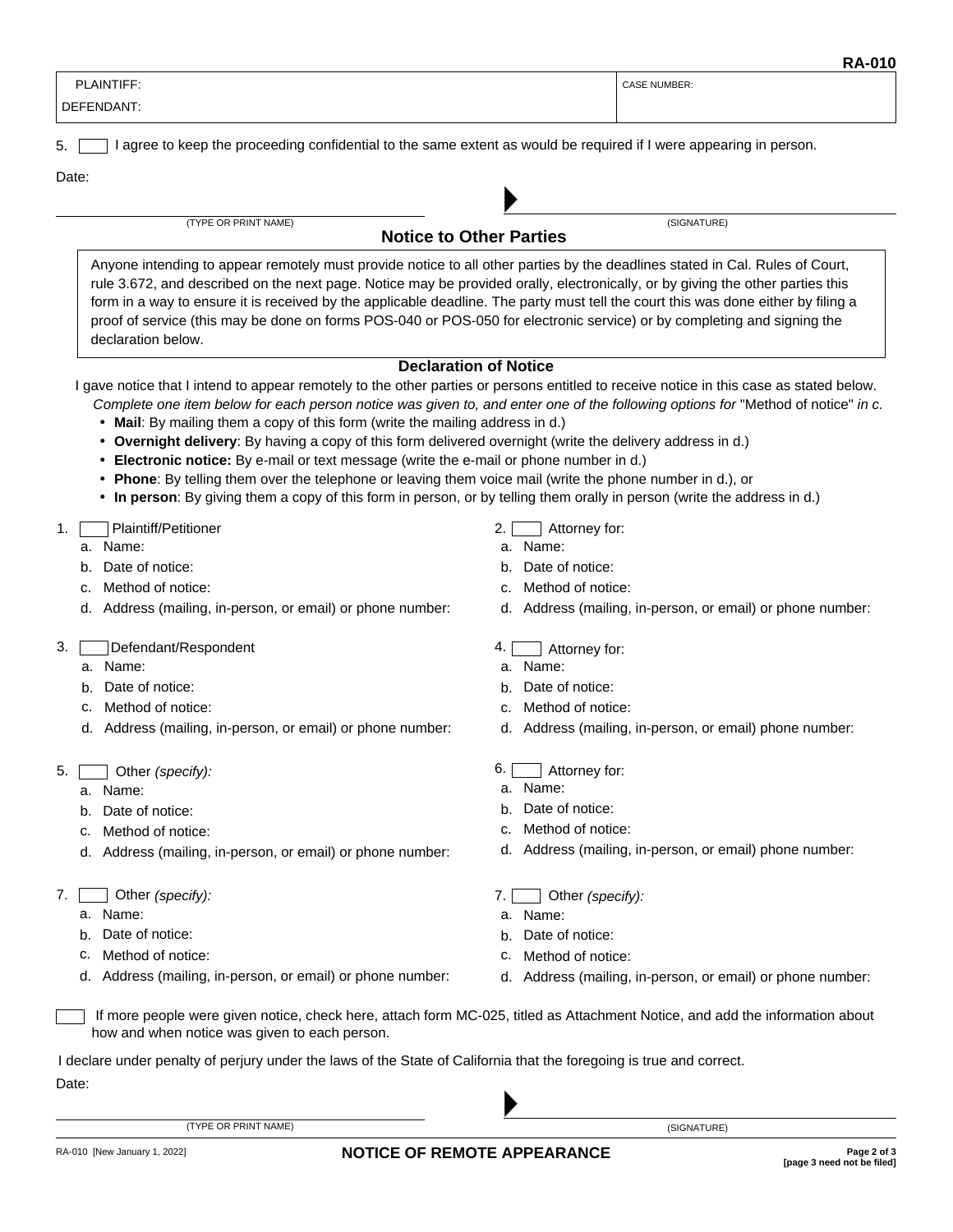|                   | $\mathbf{N}$ |
|-------------------|--------------|
| <b>PLAINTIFF:</b> | CASE NUMBER: |
| DEFENDANT:        |              |
|                   |              |

5. **I** lagree to keep the proceeding confidential to the same extent as would be required if I were appearing in person.

Date:

(TYPE OR PRINT NAME) (SIGNATURE)

**Notice to Other Parties**

Anyone intending to appear remotely must provide notice to all other parties by the deadlines stated in Cal. Rules of Court, rule 3.672, and described on the next page. Notice may be provided orally, electronically, or by giving the other parties this form in a way to ensure it is received by the applicable deadline. The party must tell the court this was done either by filing a proof of service (this may be done on forms POS-040 or POS-050 for electronic service) or by completing and signing the declaration below.

### **Declaration of Notice**

I gave notice that I intend to appear remotely to the other parties or persons entitled to receive notice in this case as stated below.

- *Complete one item below for each person notice was given to, and enter one of the following options for "Method of notice" in c.*
- Mail: By mailing them a copy of this form (write the mailing address in d.)
- **Overnight delivery**: By having a copy of this form delivered overnight (write the delivery address in d.)
- **Electronic notice:** By e-mail or text message (write the e-mail or phone number in d.)
- **Phone**: By telling them over the telephone or leaving them voice mail (write the phone number in d.), or
- **In person**: By giving them a copy of this form in person, or by telling them orally in person (write the address in d.)

## 1. Plaintiff/Petitioner

- a. Name:
- b. Date of notice:
- c. Method of notice:
- d. Address (mailing, in-person, or email) or phone number:
- 3. Defendant/Respondent
	- a. Name:
	- b. Date of notice:
	- c. Method of notice:
	- d. Address (mailing, in-person, or email) or phone number:
- 5. Other *(specify):*
	- a. Name:
	- b. Date of notice:
	- c. Method of notice:
	- d. Address (mailing, in-person, or email) or phone number:
- 7. Other *(specify):*
	- a. Name:
	- b. Date of notice:
	- c. Method of notice:
	- d. Address (mailing, in-person, or email) or phone number:
- 2. **Attorney for:**
- a. Name:
- b. Date of notice:
- c. Method of notice:
- d. Address (mailing, in-person, or email) or phone number:
- 4. **Attorney for:**
- a. Name:
- b. Date of notice:
- c. Method of notice:
- d. Address (mailing, in-person, or email) phone number:
- 6. Attorney for:
- a. Name:
- b. Date of notice:
- c. Method of notice:
- d. Address (mailing, in-person, or email) phone number:
- 7. Other *(specify):*
- a. Name:
- b. Date of notice:
- c. Method of notice:
- d. Address (mailing, in-person, or email) or phone number:

 If more people were given notice, check here, attach form MC-025, titled as Attachment Notice, and add the information about how and when notice was given to each person.

I declare under penalty of perjury under the laws of the State of California that the foregoing is true and correct.

(TYPE OR PRINT NAME) (SIGNATURE)

Date: